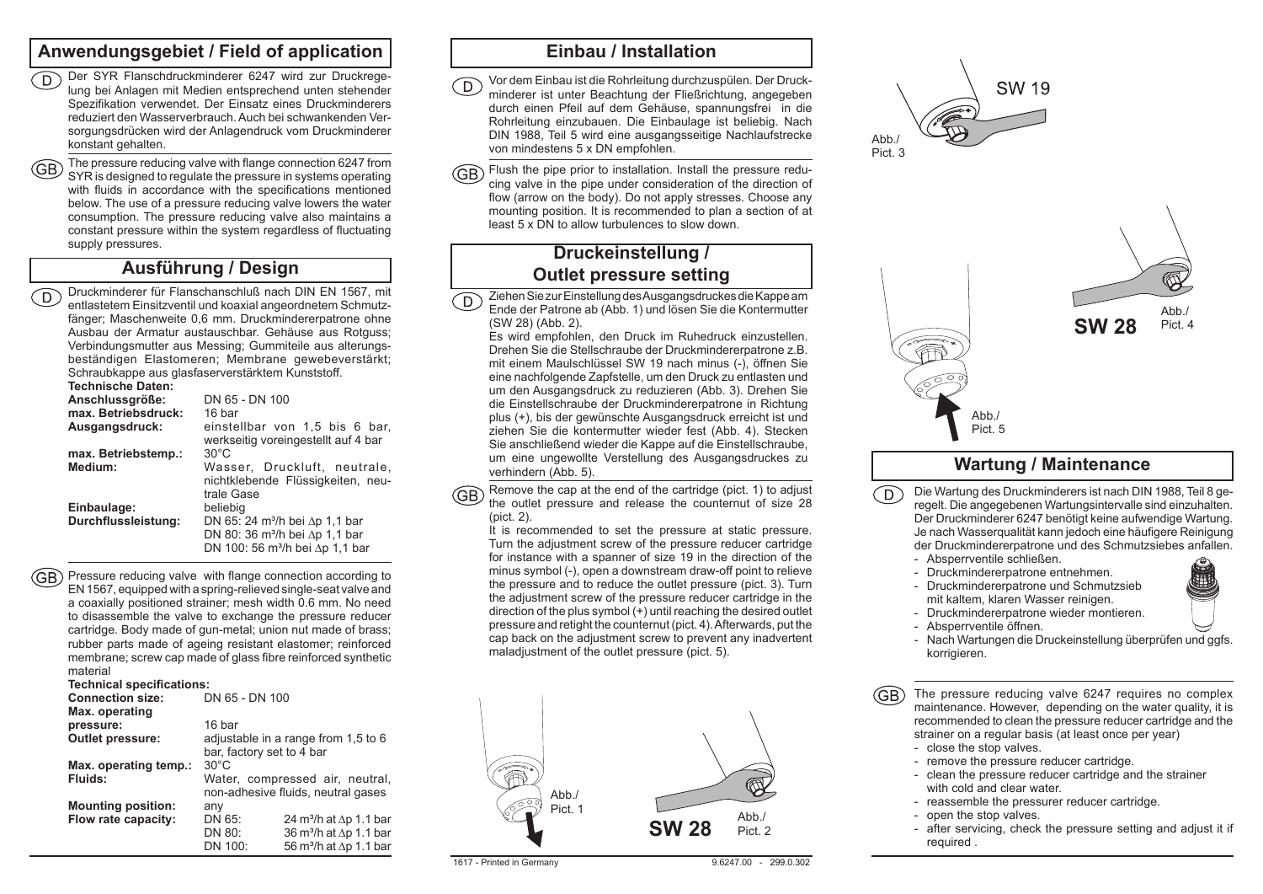### **Anwendungsgebiet / Field of application**

- D Der SYR Flanschdruckminderer 6247 wird zur Druckregelung bei Anlagen mit Medien entsprechend unten stehender Spezifikation verwendet. Der Einsatz eines Druckminderers reduziert den Wasserverbrauch. Auch bei schwankenden Versorgungsdrücken wird der Anlagendruck vom Druckminderer konstant gehalten.
- The pressure reducing valve with flange connection 6247 from SYR is designed to regulate the pressure in systems operating with fluids in accordance with the specifications mentioned below. The use of a pressure reducing valve lowers the water consumption. The pressure reducing valve also maintains a constant pressure within the system regardless of fluctuating supply pressures.

## **Ausführung / Design**

Druckminderer für Flanschanschluß nach DIN EN 1567, mit  $\widehat{\mathsf{D}}$ entlastetem Einsitzventil und koaxial angeordnetem Schmutzfänger; Maschenweite 0,6 mm. Druckmindererpatrone ohne Ausbau der Armatur austauschbar. Gehäuse aus Rotguss; Verbindungsmutter aus Messing; Gummiteile aus alterungsbeständigen Elastomeren; Membrane gewebeverstärkt; Schraubkappe aus glasfaserverstärktem Kunststoff.

#### **Technische Daten:**

| Anschlussgröße:     | DN 65 - DN 100                                                                                                                                |  |  |
|---------------------|-----------------------------------------------------------------------------------------------------------------------------------------------|--|--|
| max. Betriebsdruck: | 16 bar                                                                                                                                        |  |  |
| Ausgangsdruck:      | einstellbar von 1,5 bis 6 bar,<br>werkseitig voreingestellt auf 4 bar                                                                         |  |  |
| max. Betriebstemp.: | $30^{\circ}$ C                                                                                                                                |  |  |
| Medium:             | Wasser, Druckluft, neutrale,<br>nichtklebende Flüssigkeiten, neu-<br>trale Gase                                                               |  |  |
| Einbaulage:         | beliebig                                                                                                                                      |  |  |
| Durchflussleistung: | DN 65: 24 m <sup>3</sup> /h bei $\Delta p$ 1.1 bar<br>DN 80: 36 $m^3/h$ bei $\Delta p$ 1.1 bar<br>DN 100: 56 m <sup>3</sup> /h bei ∆p 1,1 bar |  |  |
|                     |                                                                                                                                               |  |  |

(GB) Pressure reducing valve with flange connection according to EN 1567, equipped with a spring-relieved single-seat valve and a coaxially positioned strainer; mesh width 0.6 mm. No need to disassemble the valve to exchange the pressure reducer cartridge. Body made of gun-metal; union nut made of brass; rubber parts made of ageing resistant elastomer; reinforced membrane; screw cap made of glass fibre reinforced synthetic material

#### **Technical specifications:**

| <b>Connection size:</b>   | DN 65 - DN 100            |                                            |  |
|---------------------------|---------------------------|--------------------------------------------|--|
| Max. operating            |                           |                                            |  |
| pressure:                 | 16 bar                    |                                            |  |
| <b>Outlet pressure:</b>   |                           | adjustable in a range from 1.5 to 6        |  |
|                           | bar, factory set to 4 bar |                                            |  |
| Max. operating temp.:     | $30^{\circ}$ C            |                                            |  |
| Fluids:                   |                           | Water, compressed air, neutral,            |  |
|                           |                           | non-adhesive fluids, neutral gases         |  |
| <b>Mounting position:</b> | any                       |                                            |  |
| Flow rate capacity:       | DN 65:                    | 24 m <sup>3</sup> /h at $\Delta p$ 1.1 bar |  |
|                           | DN 80:                    | 36 m <sup>3</sup> /h at $\Delta p$ 1.1 bar |  |
|                           | DN 100:                   | 56 m <sup>3</sup> /h at ∆p 1.1 bar         |  |

## **Einbau / Installation**

- Vor dem Einbau ist die Rohrleitung durchzuspülen. Der Druck- $\bigcirc$ minderer ist unter Beachtung der Fließrichtung, angegeben durch einen Pfeil auf dem Gehäuse, spannungsfrei in die Rohrleitung einzubauen. Die Einbaulage ist beliebig. Nach DIN 1988, Teil 5 wird eine ausgangsseitige Nachlaufstrecke von mindestens 5 x DN empfohlen.
- GB) Flush the pipe prior to installation. Install the pressure reducing valve in the pipe under consideration of the direction of flow (arrow on the body). Do not apply stresses. Choose any mounting position. It is recommended to plan a section of at least 5 x DN to allow turbulences to slow down.

## **Druckeinstellung / Outlet pressure setting**

Ziehen Sie zur Einstellung des Ausgangsdruckes die Kappe am D) Ende der Patrone ab (Abb. 1) und lösen Sie die Kontermutter (SW 28) (Abb. 2).

Es wird empfohlen, den Druck im Ruhedruck einzustellen. Drehen Sie die Stellschraube der Druckmindererpatrone z.B. mit einem Maulschlüssel SW 19 nach minus (-), öffnen Sie eine nachfolgende Zapfstelle, um den Druck zu entlasten und um den Ausgangsdruck zu reduzieren (Abb. 3). Drehen Sie die Einstellschraube der Druckmindererpatrone in Richtung plus (+), bis der gewünschte Ausgangsdruck erreicht ist und ziehen Sie die kontermutter wieder fest (Abb. 4). Stecken Sie anschließend wieder die Kappe auf die Einstellschraube, um eine ungewollte Verstellung des Ausgangsdruckes zu verhindern (Abb. 5).

Remove the cap at the end of the cartridge (pict. 1) to adjust **GB** the outlet pressure and release the counternut of size 28 (pict. 2).

It is recommended to set the pressure at static pressure. Turn the adjustment screw of the pressure reducer cartridge for instance with a spanner of size 19 in the direction of the minus symbol (-), open a downstream draw-off point to relieve the pressure and to reduce the outlet pressure (pict. 3). Turn the adjustment screw of the pressure reducer cartridge in the direction of the plus symbol (+) until reaching the desired outlet pressure and retight the counternut (pict. 4). Afterwards, put the cap back on the adjustment screw to prevent any inadvertent maladjustment of the outlet pressure (pict. 5).









## **Wartung / Maintenance**

- $\bigcap$ Die Wartung des Druckminderers ist nach DIN 1988, Teil 8 geregelt. Die angegebenen Wartungsintervalle sind einzuhalten. Der Druckminderer 6247 benötigt keine aufwendige Wartung. Je nach Wasserqualität kann jedoch eine häufigere Reinigung der Druckmindererpatrone und des Schmutzsiebes anfallen.
	- Absperrventile schließen.
	- Druckmindererpatrone entnehmen. - Druckmindererpatrone und Schmutzsieb
	- mit kaltem, klaren Wasser reinigen.
	- Druckmindererpatrone wieder montieren.
	- Absperrventile öffnen.
	- Nach Wartungen die Druckeinstellung überprüfen und ggfs. korrigieren.

(GB) The pressure reducing valve 6247 requires no complex maintenance. However, depending on the water quality, it is recommended to clean the pressure reducer cartridge and the strainer on a regular basis (at least once per year)

- close the stop valves.
- remove the pressure reducer cartridge.
- clean the pressure reducer cartridge and the strainer with cold and clear water
- reassemble the pressurer reducer cartridge.
- open the stop valves.
- after servicing, check the pressure setting and adjust it if required .